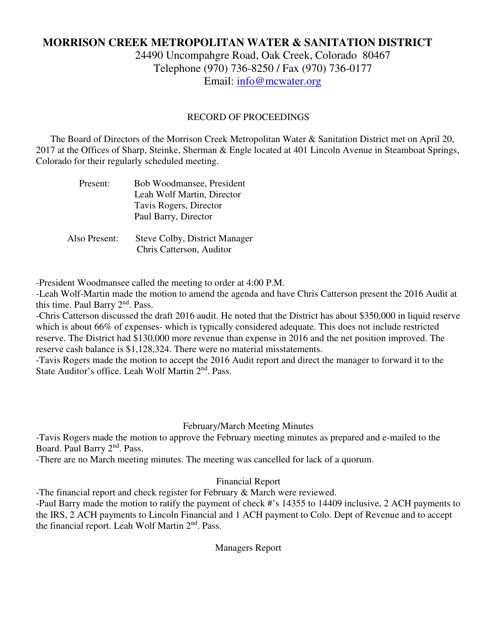# **MORRISON CREEK METROPOLITAN WATER & SANITATION DISTRICT**

24490 Uncompahgre Road, Oak Creek, Colorado 80467 Telephone (970) 736-8250 / Fax (970) 736-0177 Email: info@mcwater.org

#### RECORD OF PROCEEDINGS

 The Board of Directors of the Morrison Creek Metropolitan Water & Sanitation District met on April 20, 2017 at the Offices of Sharp, Steinke, Sherman & Engle located at 401 Lincoln Avenue in Steamboat Springs, Colorado for their regularly scheduled meeting.

| Present:      | Bob Woodmansee, President            |
|---------------|--------------------------------------|
|               | Leah Wolf Martin, Director           |
|               | Tavis Rogers, Director               |
|               | Paul Barry, Director                 |
|               |                                      |
| Also Present: | <b>Steve Colby, District Manager</b> |

Chris Catterson, Auditor

-President Woodmansee called the meeting to order at 4:00 P.M.

-Leah Wolf-Martin made the motion to amend the agenda and have Chris Catterson present the 2016 Audit at this time. Paul Barry 2<sup>nd</sup>. Pass.

-Chris Catterson discussed the draft 2016 audit. He noted that the District has about \$350,000 in liquid reserve which is about 66% of expenses- which is typically considered adequate. This does not include restricted reserve. The District had \$130,000 more revenue than expense in 2016 and the net position improved. The reserve cash balance is \$1,128,324. There were no material misstatements.

-Tavis Rogers made the motion to accept the 2016 Audit report and direct the manager to forward it to the State Auditor's office. Leah Wolf Martin 2<sup>nd</sup>, Pass.

#### February/March Meeting Minutes

-Tavis Rogers made the motion to approve the February meeting minutes as prepared and e-mailed to the Board. Paul Barry 2nd. Pass.

-There are no March meeting minutes. The meeting was cancelled for lack of a quorum.

## Financial Report

-The financial report and check register for February & March were reviewed.

-Paul Barry made the motion to ratify the payment of check #'s 14355 to 14409 inclusive, 2 ACH payments to the IRS, 2 ACH payments to Lincoln Financial and 1 ACH payment to Colo. Dept of Revenue and to accept the financial report. Leah Wolf Martin  $2<sup>nd</sup>$ . Pass.

Managers Report